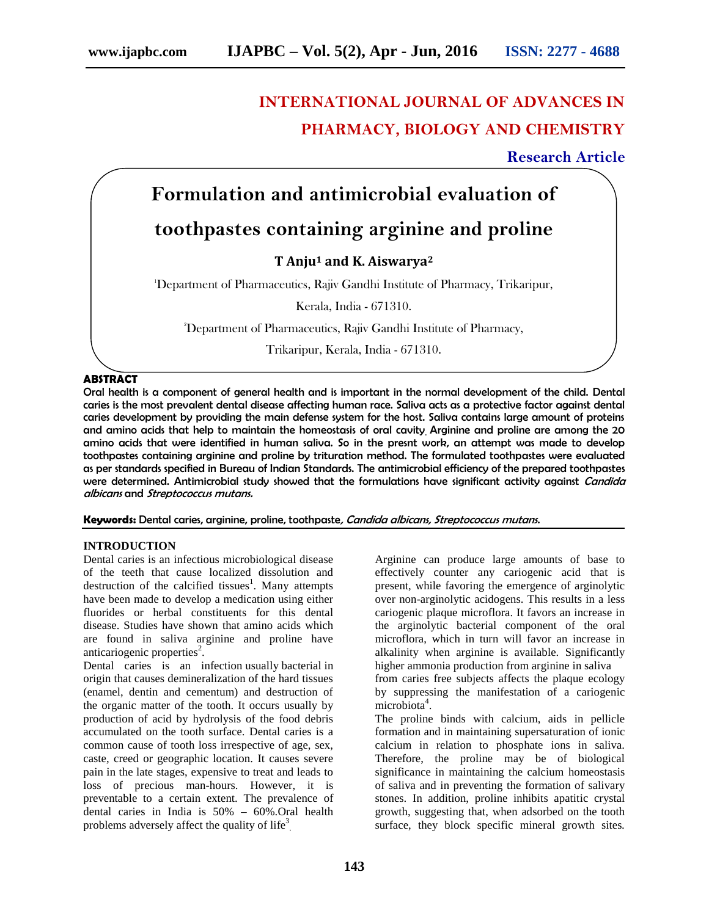# **INTERNATIONAL JOURNAL OF ADVANCES IN PHARMACY, BIOLOGY AND CHEMISTRY**

**Research Article**

# **Formulation and antimicrobial evaluation of**

# **toothpastes containing arginine and proline**

**T Anju<sup>1</sup> and K. Aiswarya<sup>2</sup>**

<sup>1</sup>Department of Pharmaceutics, Rajiv Gandhi Institute of Pharmacy, Trikaripur,

Kerala, India - 671310.

<sup>2</sup>Department of Pharmaceutics, Rajiv Gandhi Institute of Pharmacy,

Trikaripur, Kerala, India - 671310.

### **ABSTRACT**

Oral health is a component of general health and is important in the normal development of the child. Dental caries is the most prevalent dental disease affecting human race. Saliva acts as a protective factor against dental caries development by providing the main defense system for the host. Saliva contains large amount of proteins and amino acids that help to maintain the homeostasis of oral cavity. Arginine and proline are among the 20 amino acids that were identified in human saliva. So in the presnt work, an attempt was made to develop toothpastes containing arginine and proline by trituration method. The formulated toothpastes were evaluated as per standards specified in Bureau of Indian Standards. The antimicrobial efficiency of the prepared toothpastes were determined. Antimicrobial study showed that the formulations have significant activity against *Candida albicans* and *Streptococcus mutans.*

**Keywords:** Dental caries, arginine, proline, toothpaste*, Candida albicans, Streptococcus mutans*.

#### **INTRODUCTION**

Dental caries is an infectious microbiological disease of the teeth that cause localized dissolution and destruction of the calcified tissues<sup>1</sup>. Many attempts have been made to develop a medication using either fluorides or herbal constituents for this dental disease. Studies have shown that amino acids which are found in saliva arginine and proline have anticariogenic properties<sup>2</sup>.

Dental caries is an infection usually bacterial in origin that causes demineralization of the hard tissues (enamel, dentin and cementum) and destruction of the organic matter of the tooth. It occurs usually by production of acid by hydrolysis of the food debris accumulated on the tooth surface. Dental caries is a common cause of tooth loss irrespective of age, sex, caste, creed or geographic location. It causes severe pain in the late stages, expensive to treat and leads to loss of precious man-hours. However, it is preventable to a certain extent. The prevalence of dental caries in India is 50% – 60%.Oral health problems adversely affect the quality of life<sup>3</sup>.

Arginine can produce large amounts of base to effectively counter any cariogenic acid that is present, while favoring the emergence of arginolytic over non-arginolytic acidogens. This results in a less cariogenic plaque microflora. It favors an increase in the arginolytic bacterial component of the oral microflora, which in turn will favor an increase in alkalinity when arginine is available. Significantly higher ammonia production from arginine in saliva

from caries free subjects affects the plaque ecology by suppressing the manifestation of a cariogenic microbiota<sup>4</sup>.

The proline binds with calcium, aids in pellicle formation and in maintaining supersaturation of ionic calcium in relation to phosphate ions in saliva. Therefore, the proline may be of biological significance in maintaining the calcium homeostasis of saliva and in preventing the formation of salivary stones. In addition, proline inhibits apatitic crystal growth, suggesting that, when adsorbed on the tooth surface, they block specific mineral growth sites*.*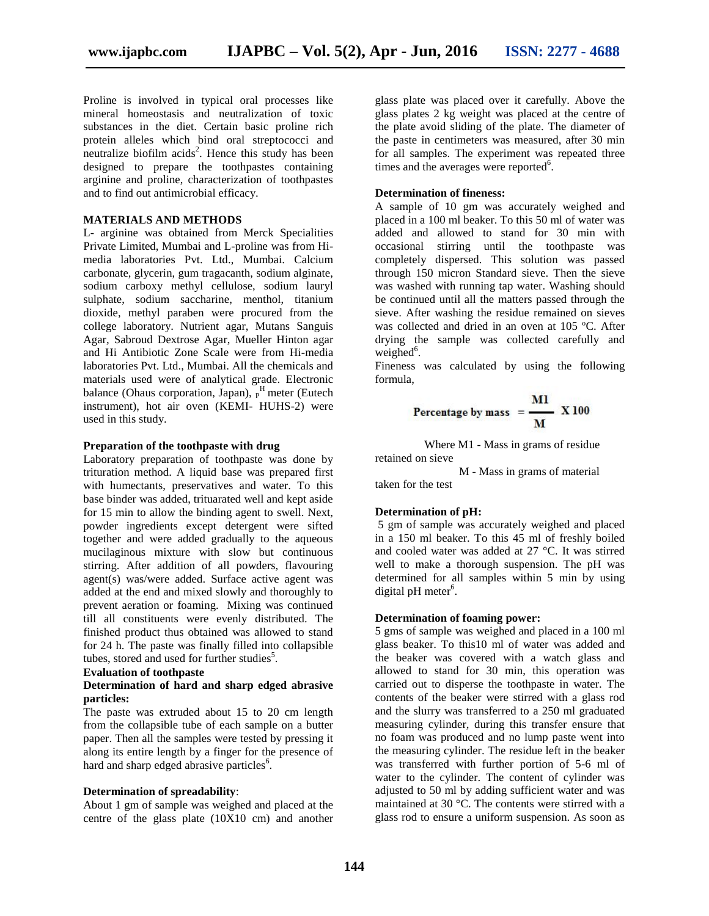Proline is involved in typical oral processes like mineral homeostasis and neutralization of toxic substances in the diet. Certain basic proline rich protein alleles which bind oral streptococci and neutralize biofilm acids<sup>2</sup>. Hence this study has been designed to prepare the toothpastes containing arginine and proline, characterization of toothpastes and to find out antimicrobial efficacy.

#### **MATERIALS AND METHODS**

L- arginine was obtained from Merck Specialities Private Limited, Mumbai and L-proline was from Hi media laboratories Pvt. Ltd., Mumbai. Calcium carbonate, glycerin, gum tragacanth, sodium alginate, sodium carboxy methyl cellulose, sodium lauryl sulphate, sodium saccharine, menthol, titanium dioxide, methyl paraben were procured from the college laboratory. Nutrient agar, Mutans Sanguis Agar*,* Sabroud Dextrose Agar, Mueller Hinton agar and Hi Antibiotic Zone Scale were from Hi-media laboratories Pvt. Ltd., Mumbai. All the chemicals and materials used were of analytical grade. Electronic balance (Ohaus corporation, Japan),  $_{P}^{H}$  meter (Eutech instrument), hot air oven (KEMI- HUHS-2) were used in this study.

#### **Preparation of the toothpaste with drug**

Laboratory preparation of toothpaste was done by trituration method. A liquid base was prepared first with humectants, preservatives and water. To this base binder was added, trituarated well and kept aside for 15 min to allow the binding agent to swell. Next, powder ingredients except detergent were sifted together and were added gradually to the aqueous mucilaginous mixture with slow but continuous stirring. After addition of all powders, flavouring agent(s) was/were added. Surface active agent was added at the end and mixed slowly and thoroughly to prevent aeration or foaming. Mixing was continued till all constituents were evenly distributed. The finished product thus obtained was allowed to stand for 24 h. The paste was finally filled into collapsible tubes, stored and used for further studies<sup>5</sup>.

#### **Evaluation of toothpaste**

#### **Determination of hard and sharp edged abrasive particles:**

The paste was extruded about 15 to 20 cm length from the collapsible tube of each sample on a butter paper. Then all the samples were tested by pressing it along its entire length by a finger for the presence of hard and sharp edged abrasive particles<sup>6</sup>.

#### **Determination of spreadability**:

About 1 gm of sample was weighed and placed at the centre of the glass plate (10X10 cm) and another glass plate was placed over it carefully. Above the glass plates 2 kg weight was placed at the centre of the plate avoid sliding of the plate. The diameter of the paste in centimeters was measured, after 30 min for all samples. The experiment was repeated three times and the averages were reported $6$ .

### **Determination of fineness:**

A sample of 10 gm was accurately weighed and placed in a 100 ml beaker. To this 50 ml of water was added and allowed to stand for 30 min with occasional stirring until the toothpaste was completely dispersed. This solution was passed through 150 micron Standard sieve. Then the sieve was washed with running tap water. Washing should be continued until all the matters passed through the sieve. After washing the residue remained on sieves was collected and dried in an oven at 105 ºC. After drying the sample was collected carefully and weighed $6$ .

Fineness was calculated by using the following formula,

Percentage by mass = 
$$
\frac{M1}{M}
$$
 X 100

Where M1 - Mass in grams of residue

retained on sieve

M - Mass in grams of material taken for the test

#### **Determination of pH:**

5 gm of sample was accurately weighed and placed in a 150 ml beaker. To this 45 ml of freshly boiled and cooled water was added at 27 °C. It was stirred well to make a thorough suspension. The pH was determined for all samples within 5 min by using digital pH meter<sup>6</sup>.

#### **Determination of foaming power:**

5 gms of sample was weighed and placed in a 100 ml glass beaker. To this10 ml of water was added and the beaker was covered with a watch glass and allowed to stand for 30 min, this operation was carried out to disperse the toothpaste in water. The contents of the beaker were stirred with a glass rod and the slurry was transferred to a 250 ml graduated measuring cylinder, during this transfer ensure that no foam was produced and no lump paste went into the measuring cylinder. The residue left in the beaker was transferred with further portion of 5-6 ml of water to the cylinder. The content of cylinder was adjusted to 50 ml by adding sufficient water and was maintained at 30 °C. The contents were stirred with a glass rod to ensure a uniform suspension. As soon as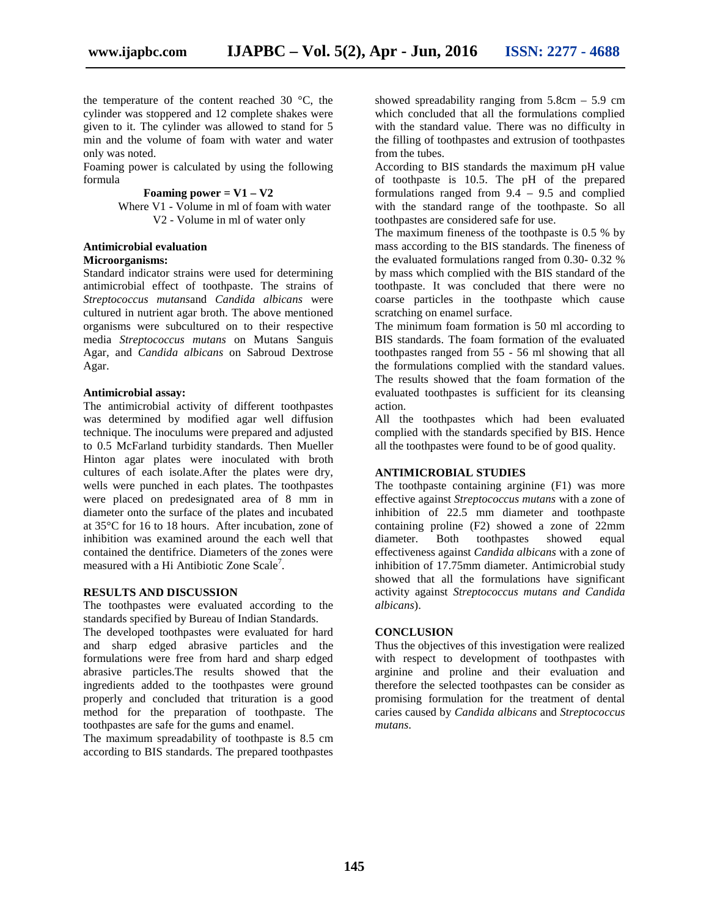the temperature of the content reached 30 °C, the cylinder was stoppered and 12 complete shakes were given to it. The cylinder was allowed to stand for 5 min and the volume of foam with water and water only was noted.

Foaming power is calculated by using the following formula

**Foaming power =**  $V1 - V2$ 

Where V1 - Volume in ml of foam with water V2 - Volume in ml of water only

## **Antimicrobial evaluation Microorganisms:**

Standard indicator strains were used for determining antimicrobial effect of toothpaste. The strains of *Streptococcus mutans*and *Candida albicans* were cultured in nutrient agar broth. The above mentioned organisms were subcultured on to their respective media *Streptococcus mutans* on Mutans Sanguis Agar*,* and *Candida albicans* on Sabroud Dextrose Agar.

## **Antimicrobial assay:**

The antimicrobial activity of different toothpastes was determined by modified agar well diffusion technique. The inoculums were prepared and adjusted to 0.5 McFarland turbidity standards. Then Mueller Hinton agar plates were inoculated with broth cultures of each isolate.After the plates were dry, wells were punched in each plates. The toothpastes were placed on predesignated area of 8 mm in diameter onto the surface of the plates and incubated at 35°C for 16 to 18 hours. After incubation, zone of inhibition was examined around the each well that contained the dentifrice. Diameters of the zones were measured with a Hi Antibiotic Zone Scale<sup>7</sup>.

# **RESULTS AND DISCUSSION**

The toothpastes were evaluated according to the standards specified by Bureau of Indian Standards.

The developed toothpastes were evaluated for hard and sharp edged abrasive particles and the formulations were free from hard and sharp edged abrasive particles.The results showed that the ingredients added to the toothpastes were ground properly and concluded that trituration is a good method for the preparation of toothpaste. The toothpastes are safe for the gums and enamel.

The maximum spreadability of toothpaste is 8.5 cm according to BIS standards. The prepared toothpastes

showed spreadability ranging from 5.8cm – 5.9 cm which concluded that all the formulations complied with the standard value. There was no difficulty in the filling of toothpastes and extrusion of toothpastes from the tubes.

According to BIS standards the maximum pH value of toothpaste is 10.5. The pH of the prepared formulations ranged from  $9.4 - 9.5$  and complied with the standard range of the toothpaste. So all toothpastes are considered safe for use.

The maximum fineness of the toothpaste is 0.5 % by mass according to the BIS standards. The fineness of the evaluated formulations ranged from 0.30- 0.32 % by mass which complied with the BIS standard of the toothpaste. It was concluded that there were no coarse particles in the toothpaste which cause scratching on enamel surface.

The minimum foam formation is 50 ml according to BIS standards. The foam formation of the evaluated toothpastes ranged from 55 - 56 ml showing that all the formulations complied with the standard values. The results showed that the foam formation of the evaluated toothpastes is sufficient for its cleansing action.

All the toothpastes which had been evaluated complied with the standards specified by BIS. Hence all the toothpastes were found to be of good quality.

# **ANTIMICROBIAL STUDIES**

The toothpaste containing arginine (F1) was more effective against *Streptococcus mutans* with a zone of inhibition of 22.5 mm diameter and toothpaste containing proline (F2) showed a zone of 22mm<br>diameter. Both toothpastes showed equal Both toothpastes showed equal effectiveness against *Candida albicans* with a zone of inhibition of 17.75mm diameter. Antimicrobial study showed that all the formulations have significant activity against *Streptococcus mutans and Candida albicans*).

# **CONCLUSION**

Thus the objectives of this investigation were realized with respect to development of toothpastes with arginine and proline and their evaluation and therefore the selected toothpastes can be consider as promising formulation for the treatment of dental caries caused by *Candida albicans* and *Streptococcus mutans*.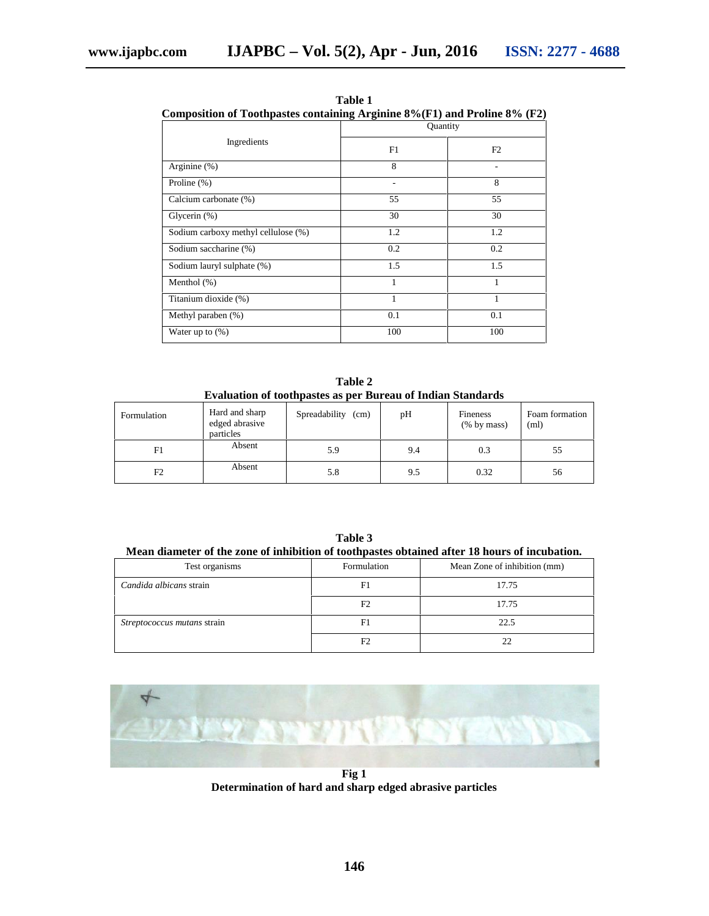| Composition of Toothpastes containing Arginine $8\%$ (F1) and Proline $8\%$ (F2) |          |     |  |  |  |
|----------------------------------------------------------------------------------|----------|-----|--|--|--|
|                                                                                  | Quantity |     |  |  |  |
| Ingredients                                                                      | F1       | F2  |  |  |  |
| Arginine $(\%)$                                                                  | 8        |     |  |  |  |
| Proline $(\%)$                                                                   |          | 8   |  |  |  |
| Calcium carbonate (%)                                                            | 55       | 55  |  |  |  |
| Glycerin (%)                                                                     | 30       | 30  |  |  |  |
| Sodium carboxy methyl cellulose (%)                                              | 1.2      | 1.2 |  |  |  |
| Sodium saccharine (%)                                                            | 0.2      | 0.2 |  |  |  |
| Sodium lauryl sulphate (%)                                                       | 1.5      | 1.5 |  |  |  |
| Menthol $(\%)$                                                                   | 1        | 1   |  |  |  |
| Titanium dioxide (%)                                                             | 1        |     |  |  |  |
| Methyl paraben (%)                                                               | 0.1      | 0.1 |  |  |  |
| Water up to $(\%)$                                                               | 100      | 100 |  |  |  |

**Table 1 Composition of Toothpastes containing Arginine 8%(F1) and Proline 8% (F2)**

**Table 2 Evaluation of toothpastes as per Bureau of Indian Standards**

| Formulation    | Hard and sharp<br>edged abrasive<br>particles | Spreadability<br>(cm) | pН  | <b>Fineness</b><br>$(\%$ by mass) | Foam formation<br>(ml) |
|----------------|-----------------------------------------------|-----------------------|-----|-----------------------------------|------------------------|
| F1             | Absent                                        | 5.9                   | 9.4 | 0.3                               | 55                     |
| F <sub>2</sub> | Absent                                        | 5.8                   | 9.5 | 0.32                              | 56                     |

**Table 3 Mean diameter of the zone of inhibition of toothpastes obtained after 18 hours of incubation.**

| Test organisms                     | Formulation    | Mean Zone of inhibition (mm) |
|------------------------------------|----------------|------------------------------|
| Candida albicans strain            | F1             | 17.75                        |
|                                    | F2             | 17.75                        |
| <i>Streptococcus mutans strain</i> | F <sub>1</sub> | 22.5                         |
|                                    |                |                              |



**Fig 1 Determination of hard and sharp edged abrasive particles**